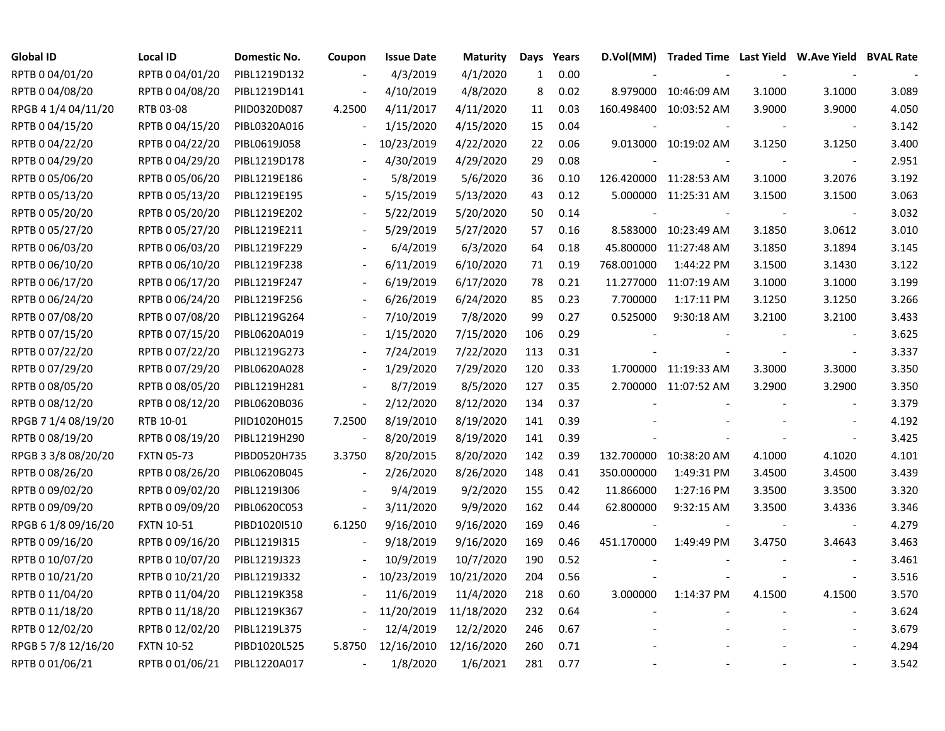| Global ID           | <b>Local ID</b>   | Domestic No. | Coupon                   | <b>Issue Date</b> | <b>Maturity</b> | Days | Years | D.Vol(MM)  | Traded Time Last Yield W.Ave Yield BVAL Rate |        |                          |       |
|---------------------|-------------------|--------------|--------------------------|-------------------|-----------------|------|-------|------------|----------------------------------------------|--------|--------------------------|-------|
| RPTB 0 04/01/20     | RPTB 0 04/01/20   | PIBL1219D132 |                          | 4/3/2019          | 4/1/2020        | 1    | 0.00  |            |                                              |        |                          |       |
| RPTB 0 04/08/20     | RPTB 0 04/08/20   | PIBL1219D141 |                          | 4/10/2019         | 4/8/2020        | 8    | 0.02  | 8.979000   | 10:46:09 AM                                  | 3.1000 | 3.1000                   | 3.089 |
| RPGB 4 1/4 04/11/20 | RTB 03-08         | PIID0320D087 | 4.2500                   | 4/11/2017         | 4/11/2020       | 11   | 0.03  |            | 160.498400 10:03:52 AM                       | 3.9000 | 3.9000                   | 4.050 |
| RPTB 0 04/15/20     | RPTB 0 04/15/20   | PIBL0320A016 |                          | 1/15/2020         | 4/15/2020       | 15   | 0.04  |            |                                              |        |                          | 3.142 |
| RPTB 0 04/22/20     | RPTB 0 04/22/20   | PIBL0619J058 |                          | 10/23/2019        | 4/22/2020       | 22   | 0.06  |            | 9.013000 10:19:02 AM                         | 3.1250 | 3.1250                   | 3.400 |
| RPTB 0 04/29/20     | RPTB 0 04/29/20   | PIBL1219D178 |                          | 4/30/2019         | 4/29/2020       | 29   | 0.08  |            |                                              |        |                          | 2.951 |
| RPTB 0 05/06/20     | RPTB 0 05/06/20   | PIBL1219E186 |                          | 5/8/2019          | 5/6/2020        | 36   | 0.10  |            | 126.420000 11:28:53 AM                       | 3.1000 | 3.2076                   | 3.192 |
| RPTB 0 05/13/20     | RPTB 0 05/13/20   | PIBL1219E195 |                          | 5/15/2019         | 5/13/2020       | 43   | 0.12  |            | 5.000000 11:25:31 AM                         | 3.1500 | 3.1500                   | 3.063 |
| RPTB 0 05/20/20     | RPTB 0 05/20/20   | PIBL1219E202 |                          | 5/22/2019         | 5/20/2020       | 50   | 0.14  |            |                                              |        |                          | 3.032 |
| RPTB 0 05/27/20     | RPTB 0 05/27/20   | PIBL1219E211 |                          | 5/29/2019         | 5/27/2020       | 57   | 0.16  |            | 8.583000 10:23:49 AM                         | 3.1850 | 3.0612                   | 3.010 |
| RPTB 0 06/03/20     | RPTB 0 06/03/20   | PIBL1219F229 |                          | 6/4/2019          | 6/3/2020        | 64   | 0.18  | 45.800000  | 11:27:48 AM                                  | 3.1850 | 3.1894                   | 3.145 |
| RPTB 0 06/10/20     | RPTB 0 06/10/20   | PIBL1219F238 |                          | 6/11/2019         | 6/10/2020       | 71   | 0.19  | 768.001000 | 1:44:22 PM                                   | 3.1500 | 3.1430                   | 3.122 |
| RPTB 0 06/17/20     | RPTB 0 06/17/20   | PIBL1219F247 |                          | 6/19/2019         | 6/17/2020       | 78   | 0.21  | 11.277000  | 11:07:19 AM                                  | 3.1000 | 3.1000                   | 3.199 |
| RPTB 0 06/24/20     | RPTB 0 06/24/20   | PIBL1219F256 |                          | 6/26/2019         | 6/24/2020       | 85   | 0.23  | 7.700000   | 1:17:11 PM                                   | 3.1250 | 3.1250                   | 3.266 |
| RPTB 0 07/08/20     | RPTB 0 07/08/20   | PIBL1219G264 |                          | 7/10/2019         | 7/8/2020        | 99   | 0.27  | 0.525000   | 9:30:18 AM                                   | 3.2100 | 3.2100                   | 3.433 |
| RPTB 0 07/15/20     | RPTB 0 07/15/20   | PIBL0620A019 |                          | 1/15/2020         | 7/15/2020       | 106  | 0.29  |            |                                              |        |                          | 3.625 |
| RPTB 0 07/22/20     | RPTB 0 07/22/20   | PIBL1219G273 |                          | 7/24/2019         | 7/22/2020       | 113  | 0.31  |            |                                              |        |                          | 3.337 |
| RPTB 0 07/29/20     | RPTB 0 07/29/20   | PIBL0620A028 | $\overline{\phantom{a}}$ | 1/29/2020         | 7/29/2020       | 120  | 0.33  |            | 1.700000 11:19:33 AM                         | 3.3000 | 3.3000                   | 3.350 |
| RPTB 0 08/05/20     | RPTB 0 08/05/20   | PIBL1219H281 | $\overline{\phantom{a}}$ | 8/7/2019          | 8/5/2020        | 127  | 0.35  |            | 2.700000 11:07:52 AM                         | 3.2900 | 3.2900                   | 3.350 |
| RPTB 0 08/12/20     | RPTB 0 08/12/20   | PIBL0620B036 | $\overline{\phantom{a}}$ | 2/12/2020         | 8/12/2020       | 134  | 0.37  |            |                                              |        | $\overline{\phantom{a}}$ | 3.379 |
| RPGB 7 1/4 08/19/20 | RTB 10-01         | PIID1020H015 | 7.2500                   | 8/19/2010         | 8/19/2020       | 141  | 0.39  |            |                                              |        |                          | 4.192 |
| RPTB 0 08/19/20     | RPTB 0 08/19/20   | PIBL1219H290 | $\overline{\phantom{a}}$ | 8/20/2019         | 8/19/2020       | 141  | 0.39  |            |                                              |        | $\blacksquare$           | 3.425 |
| RPGB 3 3/8 08/20/20 | <b>FXTN 05-73</b> | PIBD0520H735 | 3.3750                   | 8/20/2015         | 8/20/2020       | 142  | 0.39  | 132.700000 | 10:38:20 AM                                  | 4.1000 | 4.1020                   | 4.101 |
| RPTB 0 08/26/20     | RPTB 0 08/26/20   | PIBL0620B045 |                          | 2/26/2020         | 8/26/2020       | 148  | 0.41  | 350.000000 | 1:49:31 PM                                   | 3.4500 | 3.4500                   | 3.439 |
| RPTB 0 09/02/20     | RPTB 0 09/02/20   | PIBL1219I306 |                          | 9/4/2019          | 9/2/2020        | 155  | 0.42  | 11.866000  | 1:27:16 PM                                   | 3.3500 | 3.3500                   | 3.320 |
| RPTB 0 09/09/20     | RPTB 0 09/09/20   | PIBL0620C053 | $\overline{\phantom{a}}$ | 3/11/2020         | 9/9/2020        | 162  | 0.44  | 62.800000  | 9:32:15 AM                                   | 3.3500 | 3.4336                   | 3.346 |
| RPGB 6 1/8 09/16/20 | <b>FXTN 10-51</b> | PIBD1020I510 | 6.1250                   | 9/16/2010         | 9/16/2020       | 169  | 0.46  |            |                                              |        | $\overline{\phantom{a}}$ | 4.279 |
| RPTB 0 09/16/20     | RPTB 0 09/16/20   | PIBL1219I315 |                          | 9/18/2019         | 9/16/2020       | 169  | 0.46  | 451.170000 | 1:49:49 PM                                   | 3.4750 | 3.4643                   | 3.463 |
| RPTB 0 10/07/20     | RPTB 0 10/07/20   | PIBL1219J323 |                          | 10/9/2019         | 10/7/2020       | 190  | 0.52  |            |                                              |        |                          | 3.461 |
| RPTB 0 10/21/20     | RPTB 0 10/21/20   | PIBL1219J332 |                          | 10/23/2019        | 10/21/2020      | 204  | 0.56  |            |                                              |        | $\overline{\phantom{a}}$ | 3.516 |
| RPTB 0 11/04/20     | RPTB 0 11/04/20   | PIBL1219K358 |                          | 11/6/2019         | 11/4/2020       | 218  | 0.60  | 3.000000   | 1:14:37 PM                                   | 4.1500 | 4.1500                   | 3.570 |
| RPTB 0 11/18/20     | RPTB 0 11/18/20   | PIBL1219K367 | $\overline{\phantom{a}}$ | 11/20/2019        | 11/18/2020      | 232  | 0.64  |            |                                              |        | $\blacksquare$           | 3.624 |
| RPTB 0 12/02/20     | RPTB 0 12/02/20   | PIBL1219L375 | $\overline{\phantom{a}}$ | 12/4/2019         | 12/2/2020       | 246  | 0.67  |            |                                              |        |                          | 3.679 |
| RPGB 5 7/8 12/16/20 | <b>FXTN 10-52</b> | PIBD1020L525 | 5.8750                   | 12/16/2010        | 12/16/2020      | 260  | 0.71  |            |                                              |        |                          | 4.294 |
| RPTB 0 01/06/21     | RPTB 0 01/06/21   | PIBL1220A017 | $\overline{\phantom{a}}$ | 1/8/2020          | 1/6/2021        | 281  | 0.77  |            |                                              |        |                          | 3.542 |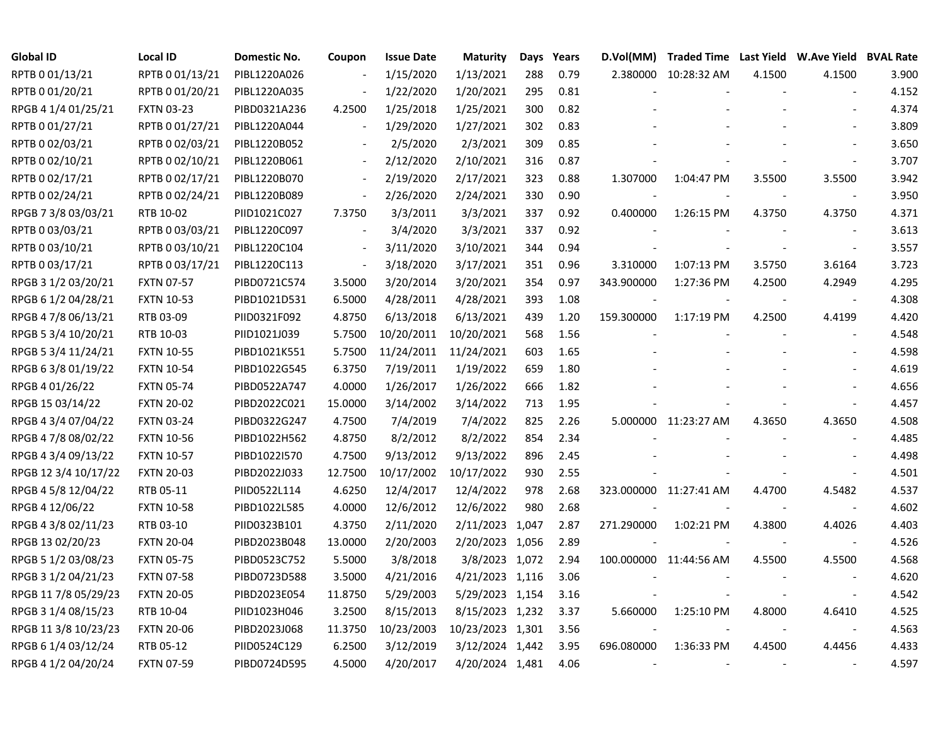| <b>Global ID</b>     | <b>Local ID</b>   | Domestic No. | Coupon                   | <b>Issue Date</b> | <b>Maturity</b>  | Days | Years | D.Vol(MM)                | Traded Time Last Yield W.Ave Yield BVAL Rate |        |                          |       |
|----------------------|-------------------|--------------|--------------------------|-------------------|------------------|------|-------|--------------------------|----------------------------------------------|--------|--------------------------|-------|
| RPTB 0 01/13/21      | RPTB 0 01/13/21   | PIBL1220A026 |                          | 1/15/2020         | 1/13/2021        | 288  | 0.79  |                          | 2.380000 10:28:32 AM                         | 4.1500 | 4.1500                   | 3.900 |
| RPTB 0 01/20/21      | RPTB 0 01/20/21   | PIBL1220A035 |                          | 1/22/2020         | 1/20/2021        | 295  | 0.81  |                          |                                              |        |                          | 4.152 |
| RPGB 4 1/4 01/25/21  | <b>FXTN 03-23</b> | PIBD0321A236 | 4.2500                   | 1/25/2018         | 1/25/2021        | 300  | 0.82  |                          |                                              |        |                          | 4.374 |
| RPTB 0 01/27/21      | RPTB 0 01/27/21   | PIBL1220A044 | $\overline{\phantom{a}}$ | 1/29/2020         | 1/27/2021        | 302  | 0.83  |                          |                                              |        |                          | 3.809 |
| RPTB 0 02/03/21      | RPTB 0 02/03/21   | PIBL1220B052 | $\overline{\phantom{a}}$ | 2/5/2020          | 2/3/2021         | 309  | 0.85  |                          |                                              |        |                          | 3.650 |
| RPTB 0 02/10/21      | RPTB 0 02/10/21   | PIBL1220B061 | $\overline{\phantom{a}}$ | 2/12/2020         | 2/10/2021        | 316  | 0.87  |                          |                                              |        |                          | 3.707 |
| RPTB 002/17/21       | RPTB 002/17/21    | PIBL1220B070 | $\overline{\phantom{a}}$ | 2/19/2020         | 2/17/2021        | 323  | 0.88  | 1.307000                 | 1:04:47 PM                                   | 3.5500 | 3.5500                   | 3.942 |
| RPTB 0 02/24/21      | RPTB 0 02/24/21   | PIBL1220B089 | $\Box$                   | 2/26/2020         | 2/24/2021        | 330  | 0.90  |                          |                                              |        |                          | 3.950 |
| RPGB 7 3/8 03/03/21  | RTB 10-02         | PIID1021C027 | 7.3750                   | 3/3/2011          | 3/3/2021         | 337  | 0.92  | 0.400000                 | 1:26:15 PM                                   | 4.3750 | 4.3750                   | 4.371 |
| RPTB 0 03/03/21      | RPTB 0 03/03/21   | PIBL1220C097 | $\overline{\phantom{a}}$ | 3/4/2020          | 3/3/2021         | 337  | 0.92  |                          |                                              |        |                          | 3.613 |
| RPTB 0 03/10/21      | RPTB 0 03/10/21   | PIBL1220C104 | $\overline{\phantom{a}}$ | 3/11/2020         | 3/10/2021        | 344  | 0.94  |                          |                                              |        | $\overline{\phantom{a}}$ | 3.557 |
| RPTB 0 03/17/21      | RPTB 0 03/17/21   | PIBL1220C113 | $\overline{\phantom{a}}$ | 3/18/2020         | 3/17/2021        | 351  | 0.96  | 3.310000                 | 1:07:13 PM                                   | 3.5750 | 3.6164                   | 3.723 |
| RPGB 3 1/2 03/20/21  | <b>FXTN 07-57</b> | PIBD0721C574 | 3.5000                   | 3/20/2014         | 3/20/2021        | 354  | 0.97  | 343.900000               | 1:27:36 PM                                   | 4.2500 | 4.2949                   | 4.295 |
| RPGB 6 1/2 04/28/21  | <b>FXTN 10-53</b> | PIBD1021D531 | 6.5000                   | 4/28/2011         | 4/28/2021        | 393  | 1.08  |                          |                                              |        |                          | 4.308 |
| RPGB 4 7/8 06/13/21  | RTB 03-09         | PIID0321F092 | 4.8750                   | 6/13/2018         | 6/13/2021        | 439  | 1.20  | 159.300000               | 1:17:19 PM                                   | 4.2500 | 4.4199                   | 4.420 |
| RPGB 5 3/4 10/20/21  | RTB 10-03         | PIID1021J039 | 5.7500                   | 10/20/2011        | 10/20/2021       | 568  | 1.56  |                          |                                              |        |                          | 4.548 |
| RPGB 5 3/4 11/24/21  | <b>FXTN 10-55</b> | PIBD1021K551 | 5.7500                   | 11/24/2011        | 11/24/2021       | 603  | 1.65  |                          |                                              |        |                          | 4.598 |
| RPGB 6 3/8 01/19/22  | <b>FXTN 10-54</b> | PIBD1022G545 | 6.3750                   | 7/19/2011         | 1/19/2022        | 659  | 1.80  |                          |                                              |        |                          | 4.619 |
| RPGB 4 01/26/22      | <b>FXTN 05-74</b> | PIBD0522A747 | 4.0000                   | 1/26/2017         | 1/26/2022        | 666  | 1.82  |                          |                                              |        |                          | 4.656 |
| RPGB 15 03/14/22     | <b>FXTN 20-02</b> | PIBD2022C021 | 15.0000                  | 3/14/2002         | 3/14/2022        | 713  | 1.95  |                          |                                              |        |                          | 4.457 |
| RPGB 4 3/4 07/04/22  | <b>FXTN 03-24</b> | PIBD0322G247 | 4.7500                   | 7/4/2019          | 7/4/2022         | 825  | 2.26  |                          | 5.000000 11:23:27 AM                         | 4.3650 | 4.3650                   | 4.508 |
| RPGB 4 7/8 08/02/22  | <b>FXTN 10-56</b> | PIBD1022H562 | 4.8750                   | 8/2/2012          | 8/2/2022         | 854  | 2.34  |                          |                                              |        |                          | 4.485 |
| RPGB 4 3/4 09/13/22  | <b>FXTN 10-57</b> | PIBD1022I570 | 4.7500                   | 9/13/2012         | 9/13/2022        | 896  | 2.45  |                          |                                              |        |                          | 4.498 |
| RPGB 12 3/4 10/17/22 | <b>FXTN 20-03</b> | PIBD2022J033 | 12.7500                  | 10/17/2002        | 10/17/2022       | 930  | 2.55  |                          |                                              |        |                          | 4.501 |
| RPGB 4 5/8 12/04/22  | RTB 05-11         | PIID0522L114 | 4.6250                   | 12/4/2017         | 12/4/2022        | 978  | 2.68  |                          | 323.000000 11:27:41 AM                       | 4.4700 | 4.5482                   | 4.537 |
| RPGB 4 12/06/22      | <b>FXTN 10-58</b> | PIBD1022L585 | 4.0000                   | 12/6/2012         | 12/6/2022        | 980  | 2.68  |                          |                                              |        |                          | 4.602 |
| RPGB 4 3/8 02/11/23  | RTB 03-10         | PIID0323B101 | 4.3750                   | 2/11/2020         | 2/11/2023 1,047  |      | 2.87  | 271.290000               | 1:02:21 PM                                   | 4.3800 | 4.4026                   | 4.403 |
| RPGB 13 02/20/23     | <b>FXTN 20-04</b> | PIBD2023B048 | 13.0000                  | 2/20/2003         | 2/20/2023 1,056  |      | 2.89  |                          |                                              |        |                          | 4.526 |
| RPGB 5 1/2 03/08/23  | <b>FXTN 05-75</b> | PIBD0523C752 | 5.5000                   | 3/8/2018          | 3/8/2023 1,072   |      | 2.94  |                          | 100.000000 11:44:56 AM                       | 4.5500 | 4.5500                   | 4.568 |
| RPGB 3 1/2 04/21/23  | <b>FXTN 07-58</b> | PIBD0723D588 | 3.5000                   | 4/21/2016         | 4/21/2023 1,116  |      | 3.06  |                          |                                              |        |                          | 4.620 |
| RPGB 11 7/8 05/29/23 | <b>FXTN 20-05</b> | PIBD2023E054 | 11.8750                  | 5/29/2003         | 5/29/2023 1,154  |      | 3.16  |                          |                                              |        |                          | 4.542 |
| RPGB 3 1/4 08/15/23  | RTB 10-04         | PIID1023H046 | 3.2500                   | 8/15/2013         | 8/15/2023 1,232  |      | 3.37  | 5.660000                 | 1:25:10 PM                                   | 4.8000 | 4.6410                   | 4.525 |
| RPGB 11 3/8 10/23/23 | <b>FXTN 20-06</b> | PIBD2023J068 | 11.3750                  | 10/23/2003        | 10/23/2023 1,301 |      | 3.56  |                          |                                              |        |                          | 4.563 |
| RPGB 6 1/4 03/12/24  | RTB 05-12         | PIID0524C129 | 6.2500                   | 3/12/2019         | 3/12/2024 1,442  |      | 3.95  | 696.080000               | 1:36:33 PM                                   | 4.4500 | 4.4456                   | 4.433 |
| RPGB 4 1/2 04/20/24  | <b>FXTN 07-59</b> | PIBD0724D595 | 4.5000                   | 4/20/2017         | 4/20/2024 1,481  |      | 4.06  | $\overline{\phantom{a}}$ |                                              |        |                          | 4.597 |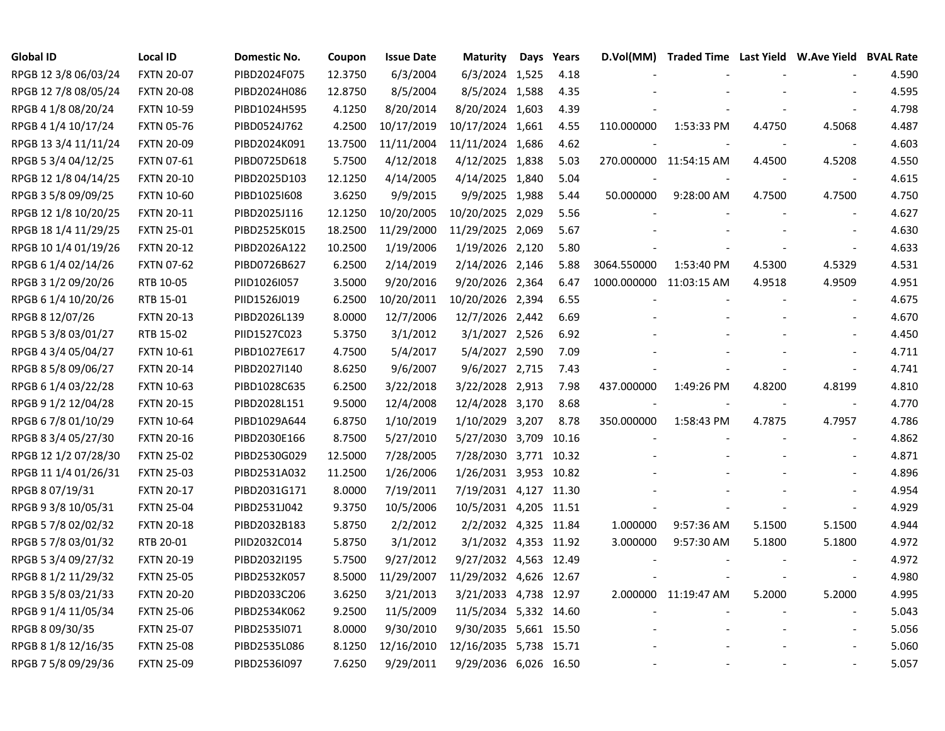| <b>Global ID</b>     | <b>Local ID</b>   | Domestic No. | Coupon  | <b>Issue Date</b> | <b>Maturity</b>        | Days | Years | D.Vol(MM)               | Traded Time Last Yield W.Ave Yield BVAL Rate |                |                          |       |
|----------------------|-------------------|--------------|---------|-------------------|------------------------|------|-------|-------------------------|----------------------------------------------|----------------|--------------------------|-------|
| RPGB 12 3/8 06/03/24 | <b>FXTN 20-07</b> | PIBD2024F075 | 12.3750 | 6/3/2004          | 6/3/2024 1,525         |      | 4.18  |                         |                                              |                |                          | 4.590 |
| RPGB 12 7/8 08/05/24 | <b>FXTN 20-08</b> | PIBD2024H086 | 12.8750 | 8/5/2004          | 8/5/2024 1,588         |      | 4.35  |                         |                                              |                |                          | 4.595 |
| RPGB 4 1/8 08/20/24  | <b>FXTN 10-59</b> | PIBD1024H595 | 4.1250  | 8/20/2014         | 8/20/2024 1,603        |      | 4.39  |                         |                                              |                |                          | 4.798 |
| RPGB 4 1/4 10/17/24  | <b>FXTN 05-76</b> | PIBD0524J762 | 4.2500  | 10/17/2019        | 10/17/2024 1,661       |      | 4.55  | 110.000000              | 1:53:33 PM                                   | 4.4750         | 4.5068                   | 4.487 |
| RPGB 13 3/4 11/11/24 | <b>FXTN 20-09</b> | PIBD2024K091 | 13.7500 | 11/11/2004        | 11/11/2024 1,686       |      | 4.62  |                         |                                              |                | $\blacksquare$           | 4.603 |
| RPGB 5 3/4 04/12/25  | <b>FXTN 07-61</b> | PIBD0725D618 | 5.7500  | 4/12/2018         | 4/12/2025 1,838        |      | 5.03  |                         | 270.000000 11:54:15 AM                       | 4.4500         | 4.5208                   | 4.550 |
| RPGB 12 1/8 04/14/25 | <b>FXTN 20-10</b> | PIBD2025D103 | 12.1250 | 4/14/2005         | 4/14/2025 1,840        |      | 5.04  |                         |                                              |                | $\overline{\phantom{a}}$ | 4.615 |
| RPGB 3 5/8 09/09/25  | <b>FXTN 10-60</b> | PIBD1025I608 | 3.6250  | 9/9/2015          | 9/9/2025 1,988         |      | 5.44  | 50.000000               | 9:28:00 AM                                   | 4.7500         | 4.7500                   | 4.750 |
| RPGB 12 1/8 10/20/25 | <b>FXTN 20-11</b> | PIBD2025J116 | 12.1250 | 10/20/2005        | 10/20/2025 2,029       |      | 5.56  |                         |                                              |                | $\overline{a}$           | 4.627 |
| RPGB 18 1/4 11/29/25 | <b>FXTN 25-01</b> | PIBD2525K015 | 18.2500 | 11/29/2000        | 11/29/2025 2,069       |      | 5.67  |                         |                                              |                | $\sim$                   | 4.630 |
| RPGB 10 1/4 01/19/26 | <b>FXTN 20-12</b> | PIBD2026A122 | 10.2500 | 1/19/2006         | 1/19/2026 2,120        |      | 5.80  |                         |                                              |                |                          | 4.633 |
| RPGB 6 1/4 02/14/26  | <b>FXTN 07-62</b> | PIBD0726B627 | 6.2500  | 2/14/2019         | 2/14/2026 2,146        |      | 5.88  | 3064.550000             | 1:53:40 PM                                   | 4.5300         | 4.5329                   | 4.531 |
| RPGB 3 1/2 09/20/26  | RTB 10-05         | PIID1026I057 | 3.5000  | 9/20/2016         | 9/20/2026 2,364        |      | 6.47  | 1000.000000 11:03:15 AM |                                              | 4.9518         | 4.9509                   | 4.951 |
| RPGB 6 1/4 10/20/26  | RTB 15-01         | PIID1526J019 | 6.2500  | 10/20/2011        | 10/20/2026 2,394       |      | 6.55  |                         |                                              |                |                          | 4.675 |
| RPGB 8 12/07/26      | <b>FXTN 20-13</b> | PIBD2026L139 | 8.0000  | 12/7/2006         | 12/7/2026 2,442        |      | 6.69  |                         |                                              |                |                          | 4.670 |
| RPGB 5 3/8 03/01/27  | RTB 15-02         | PIID1527C023 | 5.3750  | 3/1/2012          | 3/1/2027 2,526         |      | 6.92  |                         |                                              |                |                          | 4.450 |
| RPGB 4 3/4 05/04/27  | <b>FXTN 10-61</b> | PIBD1027E617 | 4.7500  | 5/4/2017          | 5/4/2027 2,590         |      | 7.09  |                         |                                              |                |                          | 4.711 |
| RPGB 8 5/8 09/06/27  | <b>FXTN 20-14</b> | PIBD2027I140 | 8.6250  | 9/6/2007          | 9/6/2027 2,715         |      | 7.43  |                         |                                              |                |                          | 4.741 |
| RPGB 6 1/4 03/22/28  | <b>FXTN 10-63</b> | PIBD1028C635 | 6.2500  | 3/22/2018         | 3/22/2028 2,913        |      | 7.98  | 437.000000              | 1:49:26 PM                                   | 4.8200         | 4.8199                   | 4.810 |
| RPGB 9 1/2 12/04/28  | <b>FXTN 20-15</b> | PIBD2028L151 | 9.5000  | 12/4/2008         | 12/4/2028 3,170        |      | 8.68  |                         |                                              | $\blacksquare$ | $\blacksquare$           | 4.770 |
| RPGB 6 7/8 01/10/29  | <b>FXTN 10-64</b> | PIBD1029A644 | 6.8750  | 1/10/2019         | 1/10/2029 3,207        |      | 8.78  | 350.000000              | 1:58:43 PM                                   | 4.7875         | 4.7957                   | 4.786 |
| RPGB 8 3/4 05/27/30  | <b>FXTN 20-16</b> | PIBD2030E166 | 8.7500  | 5/27/2010         | 5/27/2030 3,709        |      | 10.16 |                         |                                              |                | $\blacksquare$           | 4.862 |
| RPGB 12 1/2 07/28/30 | <b>FXTN 25-02</b> | PIBD2530G029 | 12.5000 | 7/28/2005         | 7/28/2030 3,771 10.32  |      |       |                         |                                              |                | $\overline{\phantom{a}}$ | 4.871 |
| RPGB 11 1/4 01/26/31 | <b>FXTN 25-03</b> | PIBD2531A032 | 11.2500 | 1/26/2006         | 1/26/2031 3,953 10.82  |      |       |                         |                                              |                | $\overline{\phantom{a}}$ | 4.896 |
| RPGB 8 07/19/31      | <b>FXTN 20-17</b> | PIBD2031G171 | 8.0000  | 7/19/2011         | 7/19/2031 4,127 11.30  |      |       |                         |                                              |                | $\sim$                   | 4.954 |
| RPGB 9 3/8 10/05/31  | <b>FXTN 25-04</b> | PIBD2531J042 | 9.3750  | 10/5/2006         | 10/5/2031 4,205 11.51  |      |       |                         |                                              |                | $\sim$                   | 4.929 |
| RPGB 5 7/8 02/02/32  | <b>FXTN 20-18</b> | PIBD2032B183 | 5.8750  | 2/2/2012          | 2/2/2032 4,325 11.84   |      |       | 1.000000                | 9:57:36 AM                                   | 5.1500         | 5.1500                   | 4.944 |
| RPGB 5 7/8 03/01/32  | RTB 20-01         | PIID2032C014 | 5.8750  | 3/1/2012          | 3/1/2032 4,353 11.92   |      |       | 3.000000                | 9:57:30 AM                                   | 5.1800         | 5.1800                   | 4.972 |
| RPGB 5 3/4 09/27/32  | <b>FXTN 20-19</b> | PIBD2032I195 | 5.7500  | 9/27/2012         | 9/27/2032 4,563 12.49  |      |       |                         |                                              |                |                          | 4.972 |
| RPGB 8 1/2 11/29/32  | <b>FXTN 25-05</b> | PIBD2532K057 | 8.5000  | 11/29/2007        | 11/29/2032 4,626 12.67 |      |       |                         |                                              |                | $\overline{\phantom{a}}$ | 4.980 |
| RPGB 3 5/8 03/21/33  | <b>FXTN 20-20</b> | PIBD2033C206 | 3.6250  | 3/21/2013         | 3/21/2033 4,738 12.97  |      |       |                         | 2.000000 11:19:47 AM                         | 5.2000         | 5.2000                   | 4.995 |
| RPGB 9 1/4 11/05/34  | <b>FXTN 25-06</b> | PIBD2534K062 | 9.2500  | 11/5/2009         | 11/5/2034 5,332 14.60  |      |       |                         |                                              |                | $\blacksquare$           | 5.043 |
| RPGB 8 09/30/35      | <b>FXTN 25-07</b> | PIBD2535I071 | 8.0000  | 9/30/2010         | 9/30/2035 5,661 15.50  |      |       |                         |                                              |                |                          | 5.056 |
| RPGB 8 1/8 12/16/35  | <b>FXTN 25-08</b> | PIBD2535L086 | 8.1250  | 12/16/2010        | 12/16/2035 5,738 15.71 |      |       |                         |                                              |                |                          | 5.060 |
| RPGB 7 5/8 09/29/36  | <b>FXTN 25-09</b> | PIBD2536I097 | 7.6250  | 9/29/2011         | 9/29/2036 6,026 16.50  |      |       |                         |                                              |                |                          | 5.057 |